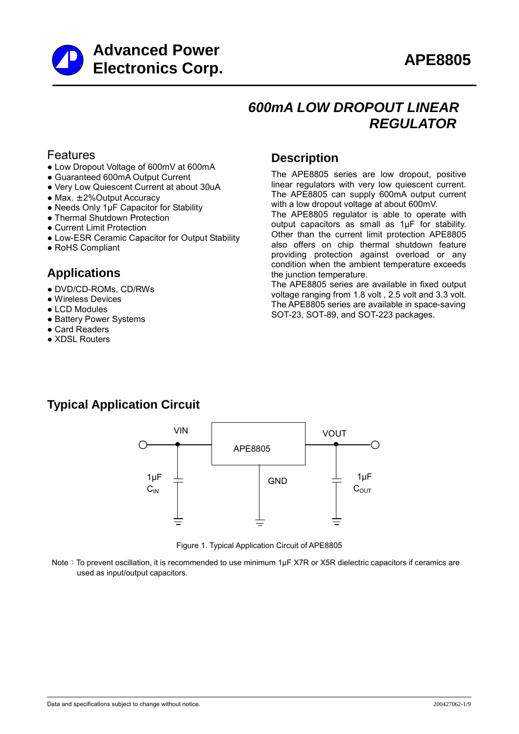

## *600mA LOW DROPOUT LINEAR REGULATOR*

### Features

- Low Dropout Voltage of 600mV at 600mA
- Guaranteed 600mA Output Current
- Very Low Quiescent Current at about 30uA
- $\bullet$  Max.  $\pm$  2% Output Accuracy
- Needs Only 1µF Capacitor for Stability
- Thermal Shutdown Protection
- Current Limit Protection
- Low-ESR Ceramic Capacitor for Output Stability
- RoHS Compliant

## **Applications**

- DVD/CD-ROMs, CD/RWs
- Wireless Devices
- LCD Modules
- Battery Power Systems
- Card Readers
- XDSL Routers

## **Description**

The APE8805 series are low dropout, positive linear regulators with very low quiescent current. The APE8805 can supply 600mA output current with a low dropout voltage at about 600mV.

The APE8805 regulator is able to operate with output capacitors as small as 1µF for stability. Other than the current limit protection APE8805 also offers on chip thermal shutdown feature providing protection against overload or any condition when the ambient temperature exceeds the junction temperature.

The APE8805 series are available in fixed output voltage ranging from 1.8 volt , 2.5 volt and 3.3 volt. The APE8805 series are available in space-saving SOT-23, SOT-89, and SOT-223 packages.

## **Typical Application Circuit**



Figure 1. Typical Application Circuit of APE8805

Note: To prevent oscillation, it is recommended to use minimum 1uF X7R or X5R dielectric capacitors if ceramics are used as input/output capacitors.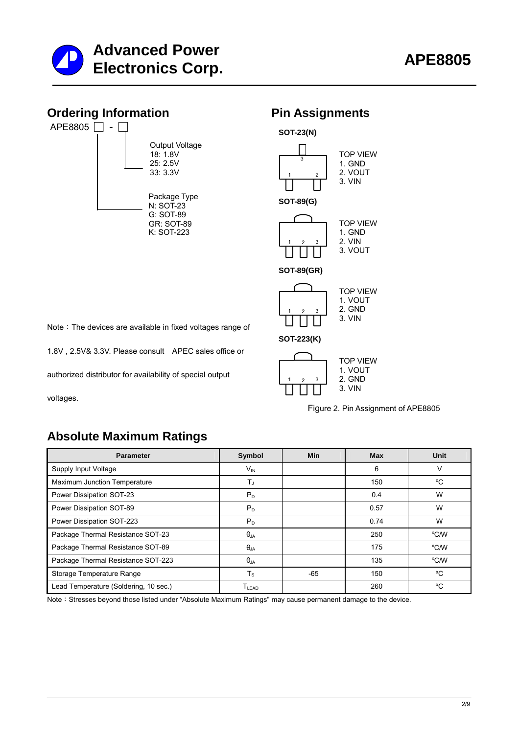



1 2 3 **SOT-223(K)**

2. GND 3. VIN

Note: The devices are available in fixed voltages range of

1.8V , 2.5V& 3.3V. Please consult APEC sales office or

authorized distributor for availability of special output

voltages.

| <b>TOP VIFW</b><br>1. VOUT |
|----------------------------|
| 2. GND                     |
| $3.$ VIN                   |

Figure 2. Pin Assignment of APE8805

## **Absolute Maximum Ratings**

| <b>Parameter</b>                      | Symbol                       | Min   | <b>Max</b> | Unit               |
|---------------------------------------|------------------------------|-------|------------|--------------------|
| Supply Input Voltage                  | $V_{\text{IN}}$              |       | 6          | v                  |
| Maximum Junction Temperature          | T,                           |       | 150        | °C                 |
| Power Dissipation SOT-23              | $P_D$                        |       | 0.4        | W                  |
| Power Dissipation SOT-89              | $P_D$                        |       | 0.57       | W                  |
| Power Dissipation SOT-223             | $P_D$                        |       | 0.74       | W                  |
| Package Thermal Resistance SOT-23     | $\theta_{JA}$                |       | 250        | $^{\circ}$ C/W     |
| Package Thermal Resistance SOT-89     | $\theta$ .ja                 |       | 175        | $\rm ^{\circ}$ C/W |
| Package Thermal Resistance SOT-223    | $\theta_{JA}$                |       | 135        | $\rm ^{\circ}$ C/W |
| Storage Temperature Range             | $T_S$                        | $-65$ | 150        | °C                 |
| Lead Temperature (Soldering, 10 sec.) | $\mathsf{T}_{\mathsf{LEAD}}$ |       | 260        | °C                 |

Note: Stresses beyond those listed under "Absolute Maximum Ratings" may cause permanent damage to the device.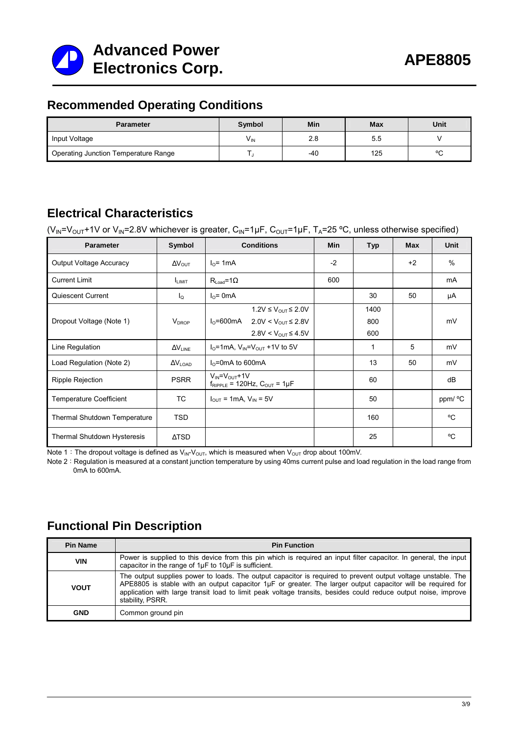

## **Recommended Operating Conditions**

| <b>Parameter</b>                     | Symbol          | Min   | <b>Max</b> | Unit   |
|--------------------------------------|-----------------|-------|------------|--------|
| Input Voltage                        | V <sub>IN</sub> | 2.8   | 5.5        |        |
| Operating Junction Temperature Range |                 | $-40$ | 125        | $\sim$ |

## **Electrical Characteristics**

 $(V_{IN}=V_{OUT}+1V$  or  $V_{IN}=2.8V$  whichever is greater,  $C_{IN}=1\mu F$ ,  $C_{OUT}=1\mu F$ ,  $T_A=25$  °C, unless otherwise specified)

| <b>Parameter</b>               | Symbol                   | <b>Conditions</b>                                                | <b>Min</b> | <b>Typ</b> | <b>Max</b> | <b>Unit</b> |
|--------------------------------|--------------------------|------------------------------------------------------------------|------------|------------|------------|-------------|
| <b>Output Voltage Accuracy</b> | $\Delta V_{\text{OUT}}$  | $I0= 1mA$                                                        | $-2$       |            | $+2$       | $\%$        |
| <b>Current Limit</b>           | <b>LIMIT</b>             | $R_{\text{load}} = 1\Omega$                                      | 600        |            |            | mA          |
| Quiescent Current              | l <sub>Q</sub>           | $I0=$ 0mA                                                        |            | 30         | 50         | μA          |
|                                |                          | $1.2V \leq V_{\text{OUT}} \leq 2.0V$                             |            | 1400       |            |             |
| Dropout Voltage (Note 1)       | <b>V</b> <sub>DROP</sub> | $I_0 = 600 \text{mA}$<br>$2.0V < V_{OUT}$ ≤ 2.8V                 |            | 800        |            | mV          |
|                                |                          | 2.8V < $V_{OUT}$ ≤ 4.5V                                          |            | 600        |            |             |
| Line Regulation                | $\Delta V_{LINE}$        | $IO=1mA$ , $VIN=VOUT +1V$ to 5V                                  |            | 1          | 5          | mV          |
| Load Regulation (Note 2)       | $\Delta V_{\text{LOAD}}$ | $I_0$ =0mA to 600mA                                              |            | 13         | 50         | mV          |
| <b>Ripple Rejection</b>        | <b>PSRR</b>              | $V_{IN} = V_{OUT} + 1V$<br>$f_{RIPPLE}$ = 120Hz, $C_{OUT}$ = 1µF |            | 60         |            | dB          |
| <b>Temperature Coefficient</b> | TC                       | $I_{\text{OUT}}$ = 1mA, $V_{\text{IN}}$ = 5V                     |            | 50         |            | ppm/ °C     |
| Thermal Shutdown Temperature   | <b>TSD</b>               |                                                                  |            | 160        |            | °C          |
| Thermal Shutdown Hysteresis    | $\Delta$ TSD             |                                                                  |            | 25         |            | °C          |

Note 1: The dropout voltage is defined as  $V_{\text{IN}}V_{\text{OUT}}$ , which is measured when  $V_{\text{OUT}}$  drop about 100mV.

Note 2: Regulation is measured at a constant junction temperature by using 40ms current pulse and load regulation in the load range from 0mA to 600mA.

## **Functional Pin Description**

| <b>Pin Name</b> | <b>Pin Function</b>                                                                                                                                                                                                                                                                                                                                               |
|-----------------|-------------------------------------------------------------------------------------------------------------------------------------------------------------------------------------------------------------------------------------------------------------------------------------------------------------------------------------------------------------------|
| <b>VIN</b>      | Power is supplied to this device from this pin which is required an input filter capacitor. In general, the input<br>capacitor in the range of 1µF to 10µF is sufficient.                                                                                                                                                                                         |
| <b>VOUT</b>     | The output supplies power to loads. The output capacitor is required to prevent output voltage unstable. The<br>APE8805 is stable with an output capacitor 1µF or greater. The larger output capacitor will be required for<br>application with large transit load to limit peak voltage transits, besides could reduce output noise, improve<br>stability, PSRR. |
| <b>GND</b>      | Common ground pin                                                                                                                                                                                                                                                                                                                                                 |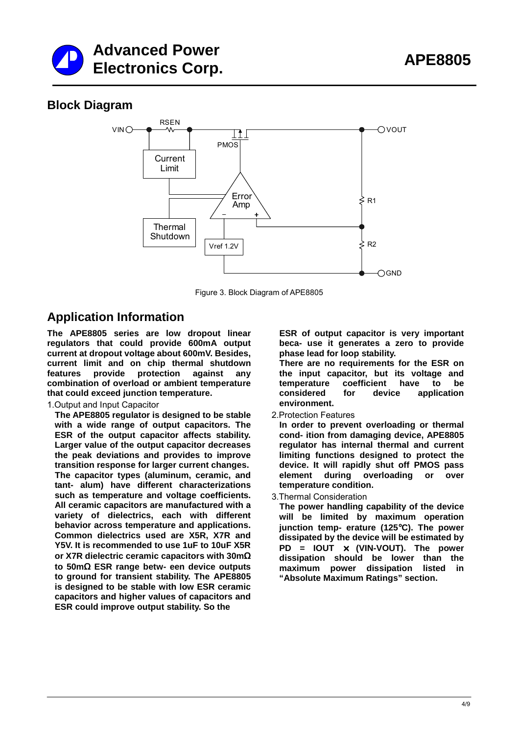



## **Block Diagram**



Figure 3. Block Diagram of APE8805

## **Application Information**

**The APE8805 series are low dropout linear regulators that could provide 600mA output current at dropout voltage about 600mV. Besides, current limit and on chip thermal shutdown features provide protection against any combination of overload or ambient temperature that could exceed junction temperature.** 

#### 1.Output and Input Capacitor

**The APE8805 regulator is designed to be stable with a wide range of output capacitors. The ESR of the output capacitor affects stability. Larger value of the output capacitor decreases the peak deviations and provides to improve transition response for larger current changes. The capacitor types (aluminum, ceramic, and tant- alum) have different characterizations such as temperature and voltage coefficients. All ceramic capacitors are manufactured with a variety of dielectrics, each with different behavior across temperature and applications. Common dielectrics used are X5R, X7R and Y5V. It is recommended to use 1uF to 10uF X5R or X7R dielectric ceramic capacitors with 30m**Ω **to 50m**Ω **ESR range betw- een device outputs to ground for transient stability. The APE8805 is designed to be stable with low ESR ceramic capacitors and higher values of capacitors and ESR could improve output stability. So the** 

**ESR of output capacitor is very important beca- use it generates a zero to provide phase lead for loop stability.** 

**There are no requirements for the ESR on the input capacitor, but its voltage and temperature coefficient have to be considered for device application environment.**

2.Protection Features

**In order to prevent overloading or thermal cond- ition from damaging device, APE8805 regulator has internal thermal and current limiting functions designed to protect the device. It will rapidly shut off PMOS pass element during overloading or over temperature condition.** 

3.Thermal Consideration

**The power handling capability of the device will be limited by maximum operation junction temp- erature (125**°**C). The power dissipated by the device will be estimated by PD = IOUT** × **(VIN-VOUT). The power dissipation should be lower than the maximum power dissipation listed in "Absolute Maximum Ratings" section.**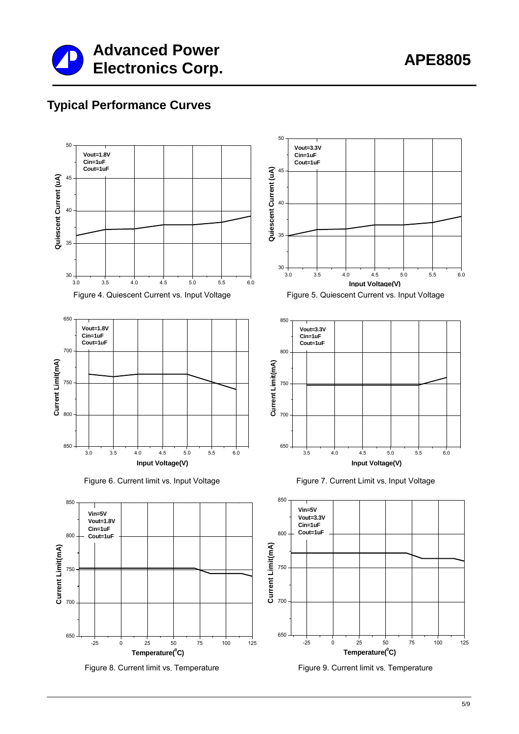

## **Typical Performance Curves**





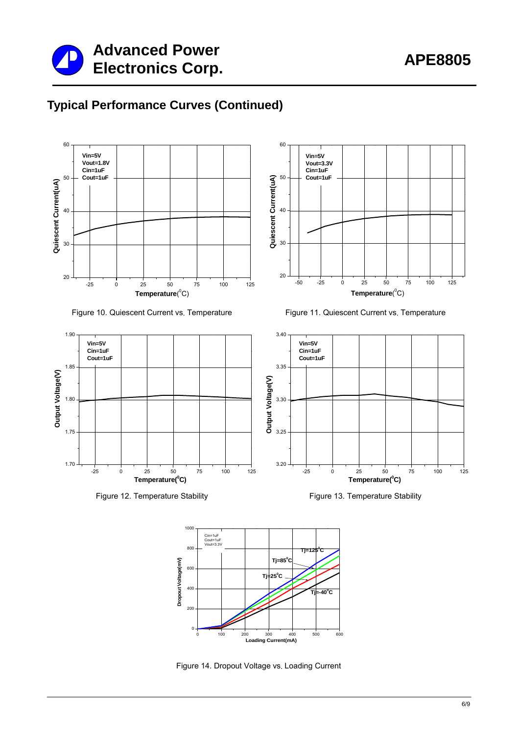

## **Typical Performance Curves (Continued)**







Figure 12. Temperature Stability Figure 13. Temperature Stability







Figure 14. Dropout Voltage vs. Loading Current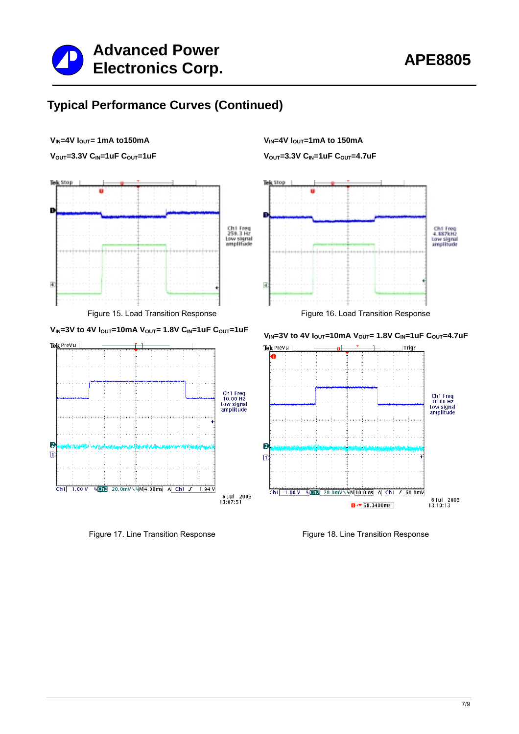

## **Typical Performance Curves (Continued)**



V<sub>OUT</sub>=3.3V C<sub>IN</sub>=1uF C<sub>OUT</sub>=1uF







V<sub>OUT</sub>=3.3V C<sub>IN</sub>=1uF C<sub>OUT</sub>=4.7uF



V<sub>IN</sub>=3V to 4V I<sub>OUT</sub>=10mA V<sub>OUT</sub>= 1.8V C<sub>IN</sub>=1uF C<sub>OUT</sub>=1uF V<sub>IN</sub>=3V to 4V I<sub>OUT</sub>=10mA V<sub>OUT</sub>= 1.8V C<sub>IN</sub>=1uF C<sub>OUT</sub>=4.7uF



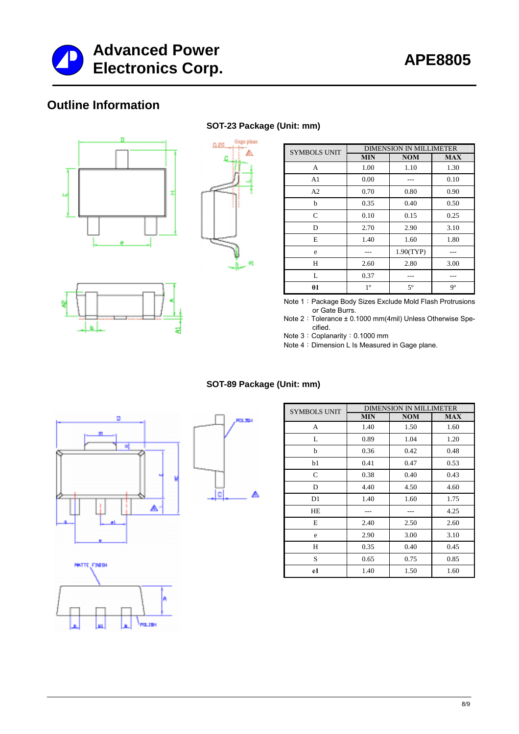

## **Outline Information**





**SOT-23 Package (Unit: mm)**



| <b>SYMBOLS UNIT</b> | <b>DIMENSION IN MILLIMETER</b> |             |            |  |
|---------------------|--------------------------------|-------------|------------|--|
|                     | <b>MIN</b>                     | <b>NOM</b>  | <b>MAX</b> |  |
| А                   | 1.00                           | 1.10        | 1.30       |  |
| A <sub>1</sub>      | 0.00                           |             | 0.10       |  |
| A2                  | 0.70                           | 0.80        | 0.90       |  |
| b                   | 0.35                           | 0.40        | 0.50       |  |
| $\mathsf{C}$        | 0.10                           | 0.15        | 0.25       |  |
| D                   | 2.70                           | 2.90        | 3.10       |  |
| E                   | 1.40                           | 1.60        | 1.80       |  |
| e                   |                                | 1.90(TYP)   |            |  |
| H                   | 2.60                           | 2.80        | 3.00       |  |
| L                   | 0.37                           |             |            |  |
| $\theta$ 1          | $1^{\circ}$                    | $5^{\circ}$ | 9°         |  |

Note 1: Package Body Sizes Exclude Mold Flash Protrusions or Gate Burrs.

Note 2: Tolerance ± 0.1000 mm(4mil) Unless Otherwise Specified.

Note 3: Coplanarity: 0.1000 mm

Note 4: Dimension L Is Measured in Gage plane.

#### **SOT-89 Package (Unit: mm)**







| <b>SYMBOLS UNIT</b> | <b>DIMENSION IN MILLIMETER</b> |            |            |
|---------------------|--------------------------------|------------|------------|
|                     | <b>MIN</b>                     | <b>NOM</b> | <b>MAX</b> |
| A                   | 1.40                           | 1.50       | 1.60       |
| L                   | 0.89                           | 1.04       | 1.20       |
| b                   | 0.36                           | 0.42       | 0.48       |
| b1                  | 0.41                           | 0.47       | 0.53       |
| C                   | 0.38                           | 0.40       | 0.43       |
| D                   | 4.40                           | 4.50       | 4.60       |
| D <sub>1</sub>      | 1.40                           | 1.60       | 1.75       |
| HE                  |                                |            | 4.25       |
| E                   | 2.40                           | 2.50       | 2.60       |
| e                   | 2.90                           | 3.00       | 3.10       |
| H                   | 0.35                           | 0.40       | 0.45       |
| S                   | 0.65                           | 0.75       | 0.85       |
| e1                  | 1.40                           | 1.50       | 1.60       |